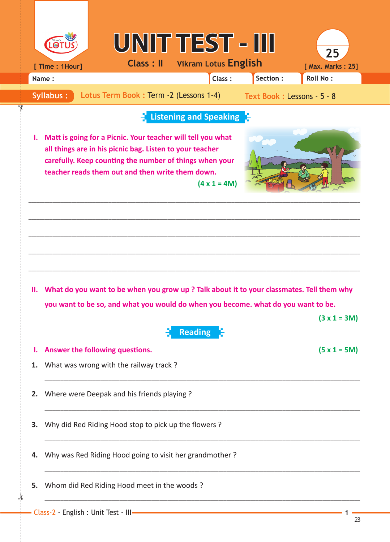|       |                  |                                                                                                                                                                                                                                        |                | UNIT TEST - III                       |                             | 25                |
|-------|------------------|----------------------------------------------------------------------------------------------------------------------------------------------------------------------------------------------------------------------------------------|----------------|---------------------------------------|-----------------------------|-------------------|
|       | [ Time : 1Hour]  |                                                                                                                                                                                                                                        |                | <b>Class: II</b> Vikram Lotus English |                             | [ Max. Marks: 25] |
| Name: |                  |                                                                                                                                                                                                                                        |                | Class:                                | Section:                    | <b>Roll No:</b>   |
|       | <b>Syllabus:</b> | Lotus Term Book: Term -2 (Lessons 1-4)                                                                                                                                                                                                 |                |                                       | Text Book : Lessons - 5 - 8 |                   |
|       |                  |                                                                                                                                                                                                                                        |                | Listening and Speaking                |                             |                   |
| ı.    |                  | Matt is going for a Picnic. Your teacher will tell you what<br>all things are in his picnic bag. Listen to your teacher<br>carefully. Keep counting the number of things when your<br>teacher reads them out and then write them down. |                | $(4 \times 1 = 4M)$                   |                             |                   |
| н.    |                  | What do you want to be when you grow up? Talk about it to your classmates. Tell them why                                                                                                                                               |                |                                       |                             |                   |
|       |                  | you want to be so, and what you would do when you become. what do you want to be.                                                                                                                                                      |                |                                       |                             |                   |
|       |                  |                                                                                                                                                                                                                                        | <b>Reading</b> |                                       |                             | $(3 x 1 = 3M)$    |
| ı.    |                  | Answer the following questions.                                                                                                                                                                                                        |                |                                       |                             | $(5 x 1 = 5M)$    |
| 1.    |                  | What was wrong with the railway track?                                                                                                                                                                                                 |                |                                       |                             |                   |
| 2.    |                  | Where were Deepak and his friends playing ?                                                                                                                                                                                            |                |                                       |                             |                   |
| З.    |                  | Why did Red Riding Hood stop to pick up the flowers?                                                                                                                                                                                   |                |                                       |                             |                   |
| 4.    |                  | Why was Red Riding Hood going to visit her grandmother?                                                                                                                                                                                |                |                                       |                             |                   |
| 5.    |                  | Whom did Red Riding Hood meet in the woods?                                                                                                                                                                                            |                |                                       |                             |                   |
|       |                  | Class-2 - English : Unit Test - III-                                                                                                                                                                                                   |                |                                       |                             |                   |

✁

✁